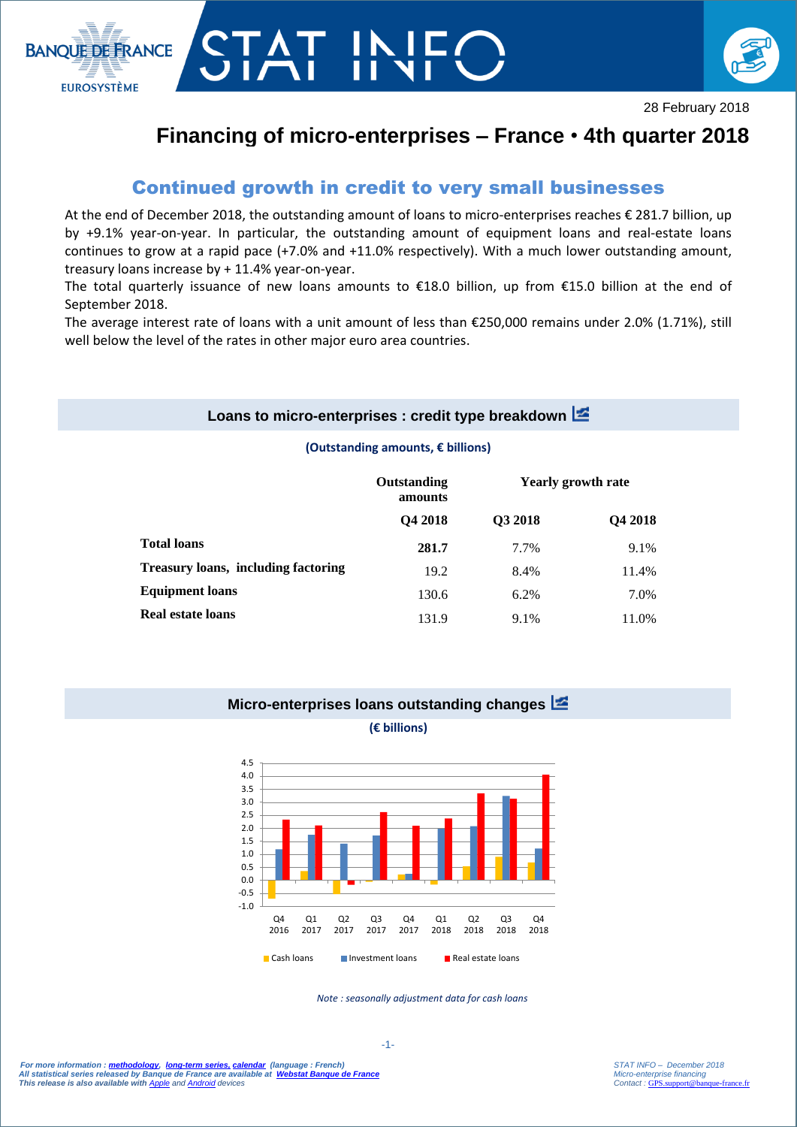



# **Financing of micro-enterprises – France** • **4th quarter 2018**

## Continued growth in credit to very small businesses

T IN

At the end of December 2018, the outstanding amount of loans to micro-enterprises reaches € 281.7 billion, up by +9.1% year-on-year. In particular, the outstanding amount of equipment loans and real-estate loans continues to grow at a rapid pace (+7.0% and +11.0% respectively). With a much lower outstanding amount, treasury loans increase by + 11.4% year-on-year.

The total quarterly issuance of new loans amounts to €18.0 billion, up from €15.0 billion at the end of September 2018.

The average interest rate of loans with a unit amount of less than €250,000 remains under 2.0% (1.71%), still well below the level of the rates in other major euro area countries.

#### **Loans to micro-enterprises : credit type breakdown**

#### **(Outstanding amounts, € billions)**

|                                            | Outstanding<br>amounts<br>Q4 2018 | <b>Yearly growth rate</b> |                |
|--------------------------------------------|-----------------------------------|---------------------------|----------------|
|                                            |                                   | Q3 2018                   | <b>O4 2018</b> |
| <b>Total loans</b>                         | 281.7                             | 7.7%                      | 9.1%           |
| <b>Treasury loans, including factoring</b> | 19.2                              | 8.4%                      | 11.4%          |
| <b>Equipment loans</b>                     | 130.6                             | 6.2%                      | 7.0%           |
| <b>Real estate loans</b>                   | 131.9                             | 9.1%                      | 11.0%          |

## **Micro-enterprises loans outstanding changes**

**(€ billions)**



*Note : seasonally adjustment data for cash loans*